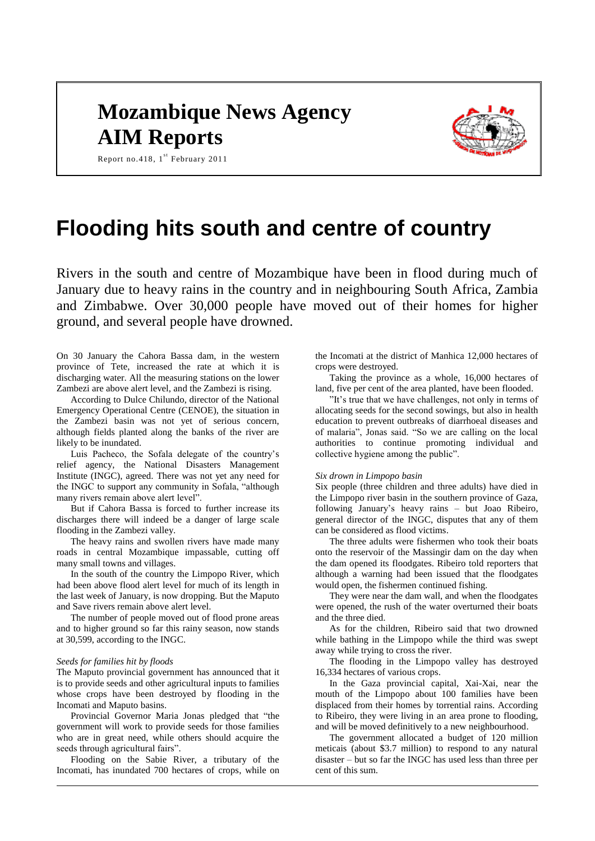# **Mozambique News Agency AIM Reports**



Report no. 418,  $1^{st}$  February 2011

# **Flooding hits south and centre of country**

Rivers in the south and centre of Mozambique have been in flood during much of January due to heavy rains in the country and in neighbouring South Africa, Zambia and Zimbabwe. Over 30,000 people have moved out of their homes for higher ground, and several people have drowned.

On 30 January the Cahora Bassa dam, in the western province of Tete, increased the rate at which it is discharging water. All the measuring stations on the lower Zambezi are above alert level, and the Zambezi is rising.

According to Dulce Chilundo, director of the National Emergency Operational Centre (CENOE), the situation in the Zambezi basin was not yet of serious concern, although fields planted along the banks of the river are likely to be inundated.

Luis Pacheco, the Sofala delegate of the country's relief agency, the National Disasters Management Institute (INGC), agreed. There was not yet any need for the INGC to support any community in Sofala, "although many rivers remain above alert level".

But if Cahora Bassa is forced to further increase its discharges there will indeed be a danger of large scale flooding in the Zambezi valley.

The heavy rains and swollen rivers have made many roads in central Mozambique impassable, cutting off many small towns and villages.

In the south of the country the Limpopo River, which had been above flood alert level for much of its length in the last week of January, is now dropping. But the Maputo and Save rivers remain above alert level.

The number of people moved out of flood prone areas and to higher ground so far this rainy season, now stands at 30,599, according to the INGC.

#### *Seeds for families hit by floods*

The Maputo provincial government has announced that it is to provide seeds and other agricultural inputs to families whose crops have been destroyed by flooding in the Incomati and Maputo basins.

Provincial Governor Maria Jonas pledged that "the government will work to provide seeds for those families who are in great need, while others should acquire the seeds through agricultural fairs".

Flooding on the Sabie River, a tributary of the Incomati, has inundated 700 hectares of crops, while on

the Incomati at the district of Manhica 12,000 hectares of crops were destroyed.

Taking the province as a whole, 16,000 hectares of land, five per cent of the area planted, have been flooded.

"It's true that we have challenges, not only in terms of allocating seeds for the second sowings, but also in health education to prevent outbreaks of diarrhoeal diseases and of malaria", Jonas said. "So we are calling on the local authorities to continue promoting individual and collective hygiene among the public".

#### *Six drown in Limpopo basin*

Six people (three children and three adults) have died in the Limpopo river basin in the southern province of Gaza, following January's heavy rains – but Joao Ribeiro, general director of the INGC, disputes that any of them can be considered as flood victims.

The three adults were fishermen who took their boats onto the reservoir of the Massingir dam on the day when the dam opened its floodgates. Ribeiro told reporters that although a warning had been issued that the floodgates would open, the fishermen continued fishing.

They were near the dam wall, and when the floodgates were opened, the rush of the water overturned their boats and the three died.

As for the children, Ribeiro said that two drowned while bathing in the Limpopo while the third was swept away while trying to cross the river.

The flooding in the Limpopo valley has destroyed 16,334 hectares of various crops.

In the Gaza provincial capital, Xai-Xai, near the mouth of the Limpopo about 100 families have been displaced from their homes by torrential rains. According to Ribeiro, they were living in an area prone to flooding, and will be moved definitively to a new neighbourhood.

The government allocated a budget of 120 million meticais (about \$3.7 million) to respond to any natural disaster – but so far the INGC has used less than three per cent of this sum.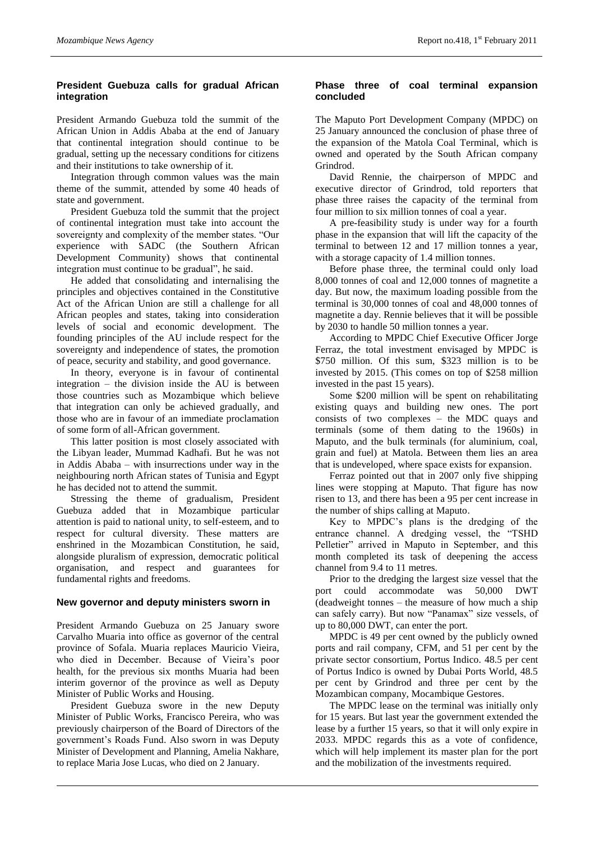## **President Guebuza calls for gradual African integration**

President Armando Guebuza told the summit of the African Union in Addis Ababa at the end of January that continental integration should continue to be gradual, setting up the necessary conditions for citizens and their institutions to take ownership of it.

Integration through common values was the main theme of the summit, attended by some 40 heads of state and government.

President Guebuza told the summit that the project of continental integration must take into account the sovereignty and complexity of the member states. "Our experience with SADC (the Southern African Development Community) shows that continental integration must continue to be gradual", he said.

He added that consolidating and internalising the principles and objectives contained in the Constitutive Act of the African Union are still a challenge for all African peoples and states, taking into consideration levels of social and economic development. The founding principles of the AU include respect for the sovereignty and independence of states, the promotion of peace, security and stability, and good governance.

In theory, everyone is in favour of continental integration – the division inside the AU is between those countries such as Mozambique which believe that integration can only be achieved gradually, and those who are in favour of an immediate proclamation of some form of all-African government.

This latter position is most closely associated with the Libyan leader, Mummad Kadhafi. But he was not in Addis Ababa – with insurrections under way in the neighbouring north African states of Tunisia and Egypt he has decided not to attend the summit.

Stressing the theme of gradualism, President Guebuza added that in Mozambique particular attention is paid to national unity, to self-esteem, and to respect for cultural diversity. These matters are enshrined in the Mozambican Constitution, he said, alongside pluralism of expression, democratic political organisation, and respect and guarantees for fundamental rights and freedoms.

## **New governor and deputy ministers sworn in**

President Armando Guebuza on 25 January swore Carvalho Muaria into office as governor of the central province of Sofala. Muaria replaces Mauricio Vieira, who died in December. Because of Vieira's poor health, for the previous six months Muaria had been interim governor of the province as well as Deputy Minister of Public Works and Housing.

President Guebuza swore in the new Deputy Minister of Public Works, Francisco Pereira, who was previously chairperson of the Board of Directors of the government's Roads Fund. Also sworn in was Deputy Minister of Development and Planning, Amelia Nakhare, to replace Maria Jose Lucas, who died on 2 January.

## **Phase three of coal terminal expansion concluded**

The Maputo Port Development Company (MPDC) on 25 January announced the conclusion of phase three of the expansion of the Matola Coal Terminal, which is owned and operated by the South African company Grindrod.

David Rennie, the chairperson of MPDC and executive director of Grindrod, told reporters that phase three raises the capacity of the terminal from four million to six million tonnes of coal a year.

A pre-feasibility study is under way for a fourth phase in the expansion that will lift the capacity of the terminal to between 12 and 17 million tonnes a year, with a storage capacity of 1.4 million tonnes.

Before phase three, the terminal could only load 8,000 tonnes of coal and 12,000 tonnes of magnetite a day. But now, the maximum loading possible from the terminal is 30,000 tonnes of coal and 48,000 tonnes of magnetite a day. Rennie believes that it will be possible by 2030 to handle 50 million tonnes a year.

According to MPDC Chief Executive Officer Jorge Ferraz, the total investment envisaged by MPDC is \$750 million. Of this sum, \$323 million is to be invested by 2015. (This comes on top of \$258 million invested in the past 15 years).

Some \$200 million will be spent on rehabilitating existing quays and building new ones. The port consists of two complexes – the MDC quays and terminals (some of them dating to the 1960s) in Maputo, and the bulk terminals (for aluminium, coal, grain and fuel) at Matola. Between them lies an area that is undeveloped, where space exists for expansion.

Ferraz pointed out that in 2007 only five shipping lines were stopping at Maputo. That figure has now risen to 13, and there has been a 95 per cent increase in the number of ships calling at Maputo.

Key to MPDC's plans is the dredging of the entrance channel. A dredging vessel, the "TSHD Pelletier" arrived in Maputo in September, and this month completed its task of deepening the access channel from 9.4 to 11 metres.

Prior to the dredging the largest size vessel that the port could accommodate was 50,000 DWT (deadweight tonnes – the measure of how much a ship can safely carry). But now "Panamax" size vessels, of up to 80,000 DWT, can enter the port.

MPDC is 49 per cent owned by the publicly owned ports and rail company, CFM, and 51 per cent by the private sector consortium, Portus Indico. 48.5 per cent of Portus Indico is owned by Dubai Ports World, 48.5 per cent by Grindrod and three per cent by the Mozambican company, Mocambique Gestores.

The MPDC lease on the terminal was initially only for 15 years. But last year the government extended the lease by a further 15 years, so that it will only expire in 2033. MPDC regards this as a vote of confidence, which will help implement its master plan for the port and the mobilization of the investments required.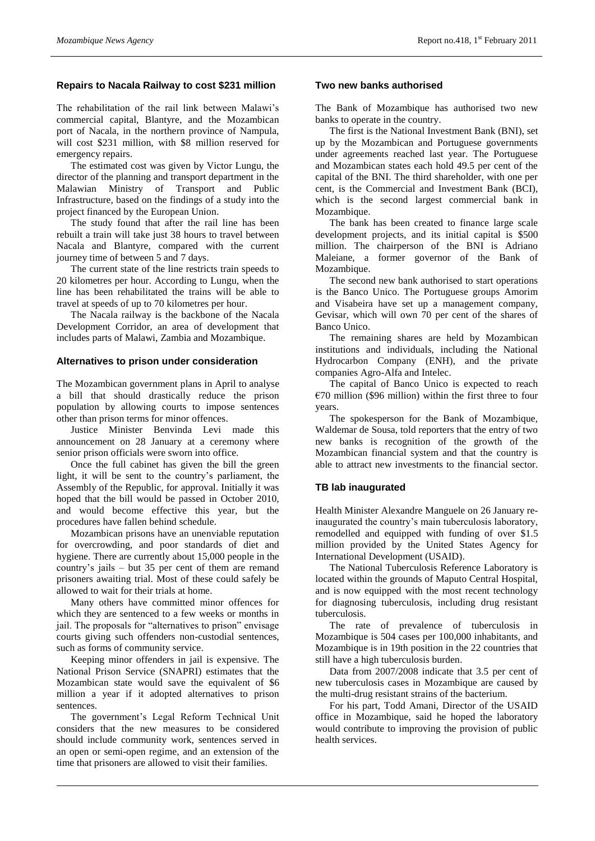## **Repairs to Nacala Railway to cost \$231 million**

The rehabilitation of the rail link between Malawi's commercial capital, Blantyre, and the Mozambican port of Nacala, in the northern province of Nampula, will cost \$231 million, with \$8 million reserved for emergency repairs.

The estimated cost was given by Victor Lungu, the director of the planning and transport department in the Malawian Ministry of Transport and Public Infrastructure, based on the findings of a study into the project financed by the European Union.

The study found that after the rail line has been rebuilt a train will take just 38 hours to travel between Nacala and Blantyre, compared with the current journey time of between 5 and 7 days.

The current state of the line restricts train speeds to 20 kilometres per hour. According to Lungu, when the line has been rehabilitated the trains will be able to travel at speeds of up to 70 kilometres per hour.

The Nacala railway is the backbone of the Nacala Development Corridor, an area of development that includes parts of Malawi, Zambia and Mozambique.

### **Alternatives to prison under consideration**

The Mozambican government plans in April to analyse a bill that should drastically reduce the prison population by allowing courts to impose sentences other than prison terms for minor offences.

Justice Minister Benvinda Levi made this announcement on 28 January at a ceremony where senior prison officials were sworn into office.

Once the full cabinet has given the bill the green light, it will be sent to the country's parliament, the Assembly of the Republic, for approval. Initially it was hoped that the bill would be passed in October 2010, and would become effective this year, but the procedures have fallen behind schedule.

Mozambican prisons have an unenviable reputation for overcrowding, and poor standards of diet and hygiene. There are currently about 15,000 people in the country's jails – but 35 per cent of them are remand prisoners awaiting trial. Most of these could safely be allowed to wait for their trials at home.

Many others have committed minor offences for which they are sentenced to a few weeks or months in jail. The proposals for "alternatives to prison" envisage courts giving such offenders non-custodial sentences, such as forms of community service.

Keeping minor offenders in jail is expensive. The National Prison Service (SNAPRI) estimates that the Mozambican state would save the equivalent of \$6 million a year if it adopted alternatives to prison sentences.

The government's Legal Reform Technical Unit considers that the new measures to be considered should include community work, sentences served in an open or semi-open regime, and an extension of the time that prisoners are allowed to visit their families.

## **Two new banks authorised**

The Bank of Mozambique has authorised two new banks to operate in the country.

The first is the National Investment Bank (BNI), set up by the Mozambican and Portuguese governments under agreements reached last year. The Portuguese and Mozambican states each hold 49.5 per cent of the capital of the BNI. The third shareholder, with one per cent, is the Commercial and Investment Bank (BCI), which is the second largest commercial bank in Mozambique.

The bank has been created to finance large scale development projects, and its initial capital is \$500 million. The chairperson of the BNI is Adriano Maleiane, a former governor of the Bank of Mozambique.

The second new bank authorised to start operations is the Banco Unico. The Portuguese groups Amorim and Visabeira have set up a management company, Gevisar, which will own 70 per cent of the shares of Banco Unico.

The remaining shares are held by Mozambican institutions and individuals, including the National Hydrocarbon Company (ENH), and the private companies Agro-Alfa and Intelec.

The capital of Banco Unico is expected to reach  $€70$  million (\$96 million) within the first three to four years.

The spokesperson for the Bank of Mozambique, Waldemar de Sousa, told reporters that the entry of two new banks is recognition of the growth of the Mozambican financial system and that the country is able to attract new investments to the financial sector.

## **TB lab inaugurated**

Health Minister Alexandre Manguele on 26 January reinaugurated the country's main tuberculosis laboratory, remodelled and equipped with funding of over \$1.5 million provided by the United States Agency for International Development (USAID).

The National Tuberculosis Reference Laboratory is located within the grounds of Maputo Central Hospital, and is now equipped with the most recent technology for diagnosing tuberculosis, including drug resistant tuberculosis.

The rate of prevalence of tuberculosis in Mozambique is 504 cases per 100,000 inhabitants, and Mozambique is in 19th position in the 22 countries that still have a high tuberculosis burden.

Data from 2007/2008 indicate that 3.5 per cent of new tuberculosis cases in Mozambique are caused by the multi-drug resistant strains of the bacterium.

For his part, Todd Amani, Director of the USAID office in Mozambique, said he hoped the laboratory would contribute to improving the provision of public health services.